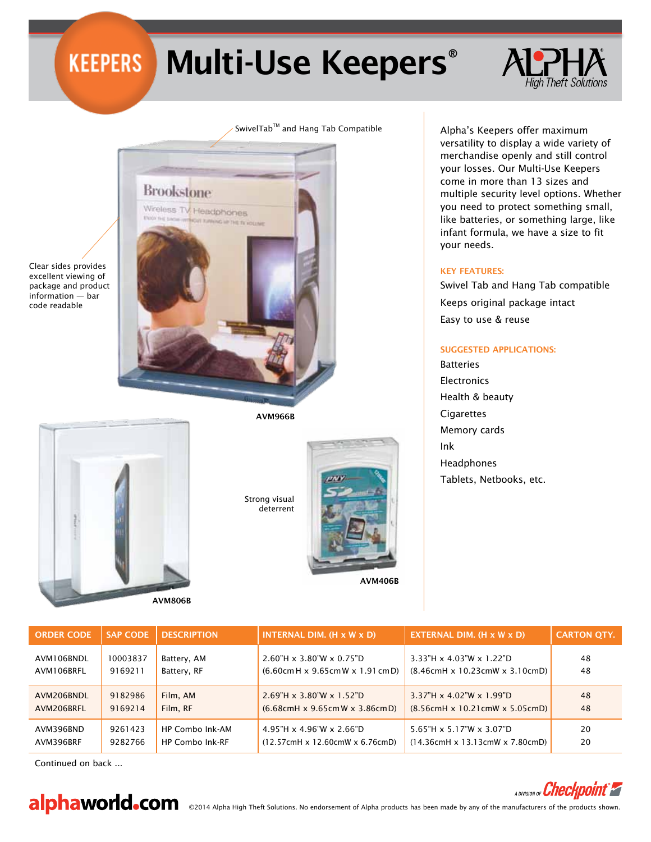**Brookstone** 

Wireless TV Headphones

in hit is in

# Multi-Use Keepers®

## SwivelTab™ and Hang Tab Compatible

Clear sides provides excellent viewing of package and product information — bar code readable



AVM966B



Strong visual deterrent





Continued on back ...



A DIVISION OF *Checkp* 

alphaworld.com ©2014 Alpha High Theft Solutions. No endorsement of Alpha products has been made by any of the manufacturers of the products shown.

Alpha's Keepers offer maximum versatility to display a wide variety of merchandise openly and still control your losses. Our Multi-Use Keepers come in more than 13 sizes and multiple security level options. Whether you need to protect something small, like batteries, or something large, like infant formula, we have a size to fit your needs.

#### Key Features:

Swivel Tab and Hang Tab compatible Keeps original package intact Easy to use & reuse

### Suggested Applications:

**Batteries** 

**Electronics** Health & beauty **Cigarettes** Memory cards Ink Headphones Tablets, Netbooks, etc.